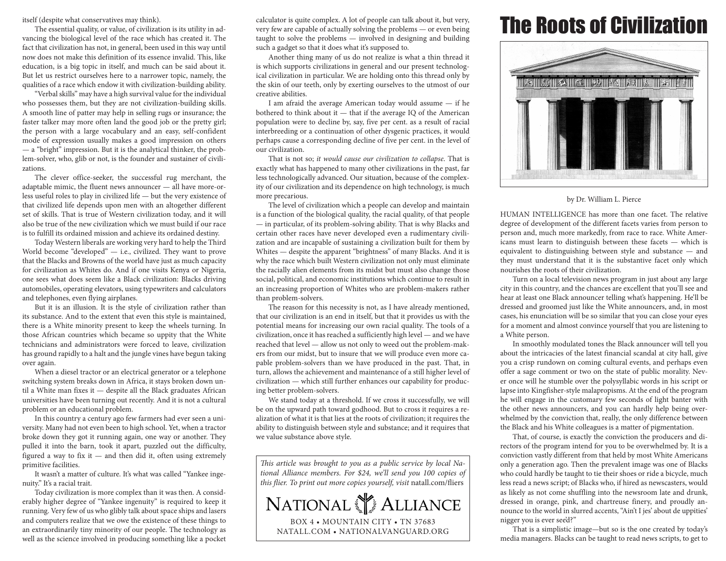itself (despite what conservatives may think).

The essential quality, or value, of civilization is its utility in advancing the biological level of the race which has created it. The fact that civilization has not, in general, been used in this way until now does not make this definition of its essence invalid. This, like education, is a big topic in itself, and much can be said about it. But let us restrict ourselves here to a narrower topic, namely, the qualities of a race which endow it with civilization-building ability.

"Verbal skills" may have a high survival value for the individual who possesses them, but they are not civilization-building skills. A smooth line of patter may help in selling rugs or insurance; the faster talker may more often land the good job or the pretty girl; the person with a large vocabulary and an easy, self-confident mode of expression usually makes a good impression on others — a "bright" impression. But it is the analytical thinker, the problem-solver, who, glib or not, is the founder and sustainer of civilizations.

The clever office-seeker, the successful rug merchant, the adaptable mimic, the fluent news announcer — all have more-orless useful roles to play in civilized life — but the very existence of that civilized life depends upon men with an altogether different set of skills. That is true of Western civilization today, and it will also be true of the new civilization which we must build if our race is to fulfill its ordained mission and achieve its ordained destiny.

Today Western liberals are working very hard to help the Third World become "developed" — i.e., civilized. They want to prove that the Blacks and Browns of the world have just as much capacity for civilization as Whites do. And if one visits Kenya or Nigeria, one sees what does seem like a Black civilization: Blacks driving automobiles, operating elevators, using typewriters and calculators and telephones, even flying airplanes.

But it is an illusion. It is the style of civilization rather than its substance. And to the extent that even this style is maintained, there is a White minority present to keep the wheels turning. In those African countries which became so uppity that the White technicians and administrators were forced to leave, civilization has ground rapidly to a halt and the jungle vines have begun taking over again.

When a diesel tractor or an electrical generator or a telephone switching system breaks down in Africa, it stays broken down until a White man fixes it — despite all the Black graduates African universities have been turning out recently. And it is not a cultural problem or an educational problem.

In this country a century ago few farmers had ever seen a university. Many had not even been to high school. Yet, when a tractor broke down they got it running again, one way or another. They pulled it into the barn, took it apart, puzzled out the difficulty, figured a way to fix it — and then did it, often using extremely primitive facilities.

It wasn't a matter of culture. It's what was called "Yankee ingenuity." It's a racial trait.

Today civilization is more complex than it was then. A considerably higher degree of "Yankee ingenuity" is required to keep it running. Very few of us who glibly talk about space ships and lasers and computers realize that we owe the existence of these things to an extraordinarily tiny minority of our people. The technology as well as the science involved in producing something like a pocket

calculator is quite complex. A lot of people can talk about it, but very, very few are capable of actually solving the problems — or even being taught to solve the problems — involved in designing and building such a gadget so that it does what it's supposed to.

Another thing many of us do not realize is what a thin thread it is which supports civilizations in general and our present technological civilization in particular. We are holding onto this thread only by the skin of our teeth, only by exerting ourselves to the utmost of our creative abilities.

I am afraid the average American today would assume — if he bothered to think about it — that if the average IQ of the American population were to decline by, say, five per cent. as a result of racial interbreeding or a continuation of other dysgenic practices, it would perhaps cause a corresponding decline of five per cent. in the level of our civilization.

That is not so; *it would cause our civilization to collapse*. That is exactly what has happened to many other civilizations in the past, far less technologically advanced. Our situation, because of the complexity of our civilization and its dependence on high technology, is much more precarious.

The level of civilization which a people can develop and maintain is a function of the biological quality, the racial quality, of that people — in particular, of its problem-solving ability. That is why Blacks and certain other races have never developed even a rudimentary civilization and are incapable of sustaining a civilization built for them by Whites — despite the apparent "brightness" of many Blacks. And it is why the race which built Western civilization not only must eliminate the racially alien elements from its midst but must also change those social, political, and economic institutions which continue to result in an increasing proportion of Whites who are problem-makers rather than problem-solvers.

The reason for this necessity is not, as I have already mentioned, that our civilization is an end in itself, but that it provides us with the potential means for increasing our own racial quality. The tools of a civilization, once it has reached a sufficiently high level — and we have reached that level — allow us not only to weed out the problem-makers from our midst, but to insure that we will produce even more capable problem-solvers than we have produced in the past. That, in turn, allows the achievement and maintenance of a still higher level of civilization — which still further enhances our capability for producing better problem-solvers.

We stand today at a threshold. If we cross it successfully, we will be on the upward path toward godhood. But to cross it requires a realization of what it is that lies at the roots of civilization; it requires the ability to distinguish between style and substance; and it requires that we value substance above style.

*This article was brought to you as a public service by local National Alliance members. For \$24, we'll send you 100 copies of this flier. To print out more copies yourself, visit* natall.com/fliers



## The Roots of Civilization



## by Dr. William L. Pierce

HUMAN INTELLIGENCE has more than one facet. The relative degree of development of the different facets varies from person to person and, much more markedly, from race to race. White Americans must learn to distinguish between these facets — which is equivalent to distinguishing between style and substance — and they must understand that it is the substantive facet only which nourishes the roots of their civilization.

Turn on a local television news program in just about any large city in this country, and the chances are excellent that you'll see and hear at least one Black announcer telling what's happening. He'll be dressed and groomed just like the White announcers, and, in most cases, his enunciation will be so similar that you can close your eyes for a moment and almost convince yourself that you are listening to a White person.

In smoothly modulated tones the Black announcer will tell you about the intricacies of the latest financial scandal at city hall, give you a crisp rundown on coming cultural events, and perhaps even offer a sage comment or two on the state of public morality. Never once will he stumble over the polysyllabic words in his script or lapse into Kingfisher-style malapropisms. At the end of the program he will engage in the customary few seconds of light banter with the other news announcers, and you can hardly help being overwhelmed by the conviction that, really, the only difference between the Black and his White colleagues is a matter of pigmentation.

That, of course, is exactly the conviction the producers and directors of the program intend for you to be overwhelmed by. It is a conviction vastly different from that held by most White Americans only a generation ago. Then the prevalent image was one of Blacks who could hardly be taught to tie their shoes or ride a bicycle, much less read a news script; of Blacks who, if hired as newscasters, would as likely as not come shuffling into the newsroom late and drunk, dressed in orange, pink, and chartreuse finery, and proudly announce to the world in slurred accents, "Ain't I jes' about de uppities' nigger you is ever see'd?"

That is a simplistic image—but so is the one created by today's media managers. Blacks can be taught to read news scripts, to get to